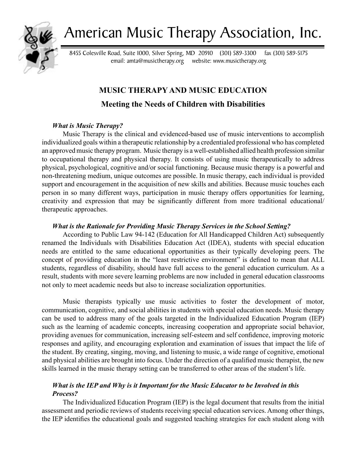

# American Music Therapy Association, Inc.

8455 Colesville Road, Suite 1000, Silver Spring, MD 20910 (301) 589-3300 fax (301) 589-5175 email: amta@musictherapy.org website: www.musictherapy.org

# **MUSIC THERAPY AND MUSIC EDUCATION**

# **Meeting the Needs of Children with Disabilities**

# *What is Music Therapy?*

Music Therapy is the clinical and evidenced-based use of music interventions to accomplish individualized goals within a therapeutic relationship by a credentialed professional who has completed an approved music therapy program. Music therapy is a well-established allied health profession similar to occupational therapy and physical therapy. It consists of using music therapeutically to address physical, psychological, cognitive and/or social functioning. Because music therapy is a powerful and non-threatening medium, unique outcomes are possible. In music therapy, each individual is provided support and encouragement in the acquisition of new skills and abilities. Because music touches each person in so many different ways, participation in music therapy offers opportunities for learning, creativity and expression that may be significantly different from more traditional educational/ therapeutic approaches.

# *What is the Rationale for Providing Music Therapy Services in the School Setting?*

According to Public Law 94-142 (Education for All Handicapped Children Act) subsequently renamed the Individuals with Disabilities Education Act (IDEA), students with special education needs are entitled to the same educational opportunities as their typically developing peers. The concept of providing education in the "least restrictive environment" is defined to mean that ALL students, regardless of disability, should have full access to the general education curriculum. As a result, students with more severe learning problems are now included in general education classrooms not only to meet academic needs but also to increase socialization opportunities.

Music therapists typically use music activities to foster the development of motor, communication, cognitive, and social abilities in students with special education needs. Music therapy can be used to address many of the goals targeted in the Individualized Education Program (IEP) such as the learning of academic concepts, increasing cooperation and appropriate social behavior, providing avenues for communication, increasing self-esteem and self confidence, improving motoric responses and agility, and encouraging exploration and examination of issues that impact the life of the student. By creating, singing, moving, and listening to music, a wide range of cognitive, emotional and physical abilities are brought into focus. Under the direction of a qualified music therapist, the new skills learned in the music therapy setting can be transferred to other areas of the student's life.

# *What is the IEP and Why is it Important for the Music Educator to be Involved in this Process?*

The Individualized Education Program (IEP) is the legal document that results from the initial assessment and periodic reviews of students receiving special education services. Among other things, the IEP identifies the educational goals and suggested teaching strategies for each student along with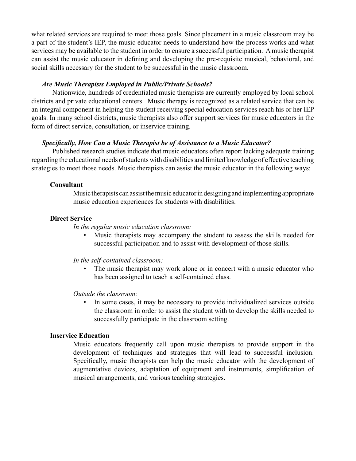what related services are required to meet those goals. Since placement in a music classroom may be a part of the student's IEP, the music educator needs to understand how the process works and what services may be available to the student in order to ensure a successful participation. A music therapist can assist the music educator in defining and developing the pre-requisite musical, behavioral, and social skills necessary for the student to be successful in the music classroom.

## *Are Music Therapists Employed in Public/Private Schools?*

Nationwide, hundreds of credentialed music therapists are currently employed by local school districts and private educational centers. Music therapy is recognized as a related service that can be an integral component in helping the student receiving special education services reach his or her IEP goals. In many school districts, music therapists also offer support services for music educators in the form of direct service, consultation, or inservice training.

## *Specifically, How Can a Music Therapist be of Assistance to a Music Educator?*

Published research studies indicate that music educators often report lacking adequate training regarding the educational needs of students with disabilities and limited knowledge of effective teaching strategies to meet those needs. Music therapists can assist the music educator in the following ways:

#### **Consultant**

Music therapists can assist the music educator in designing and implementing appropriate music education experiences for students with disabilities.

## **Direct Service**

#### *In the regular music education classroom:*

Music therapists may accompany the student to assess the skills needed for successful participation and to assist with development of those skills. •

#### *In the self-contained classroom:*

The music therapist may work alone or in concert with a music educator who has been assigned to teach a self-contained class. •

#### *Outside the classroom:*

In some cases, it may be necessary to provide individualized services outside the classroom in order to assist the student with to develop the skills needed to successfully participate in the classroom setting. •

#### **Inservice Education**

Music educators frequently call upon music therapists to provide support in the development of techniques and strategies that will lead to successful inclusion. Specifically, music therapists can help the music educator with the development of augmentative devices, adaptation of equipment and instruments, simplification of musical arrangements, and various teaching strategies.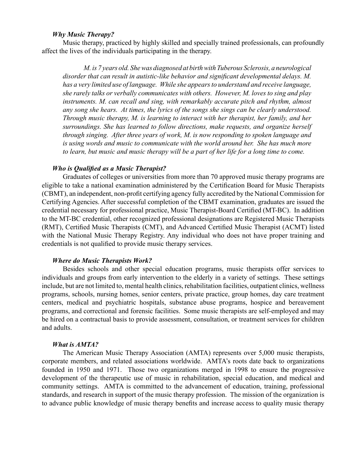#### *Why Music Therapy?*

Music therapy, practiced by highly skilled and specially trained professionals, can profoundly affect the lives of the individuals participating in the therapy.

*M. is 7 years old. She was diagnosed at birth with Tuberous Sclerosis, a neurological disorder that can result in autistic-like behavior and significant developmental delays. M. has a very limited use of language. While she appears to understand and receive language, she rarely talks or verbally communicates with others. However, M. loves to sing and play instruments. M. can recall and sing, with remarkably accurate pitch and rhythm, almost any song she hears. At times, the lyrics of the songs she sings can be clearly understood. Through music therapy, M. is learning to interact with her therapist, her family, and her surroundings. She has learned to follow directions, make requests, and organize herself through singing. After three years of work, M. is now responding to spoken language and is using words and music to communicate with the world around her. She has much more to learn, but music and music therapy will be a part of her life for a long time to come.*

#### *Who is Qualified as a Music Therapist?*

Graduates of colleges or universities from more than 70 approved music therapy programs are eligible to take a national examination administered by the Certification Board for Music Therapists (CBMT), an independent, non-profit certifying agency fully accredited by the National Commission for Certifying Agencies. After successful completion of the CBMT examination, graduates are issued the credential necessary for professional practice, Music Therapist-Board Certified (MT-BC). In addition to the MT-BC credential, other recognized professional designations are Registered Music Therapists (RMT), Certified Music Therapists (CMT), and Advanced Certified Music Therapist (ACMT) listed with the National Music Therapy Registry. Any individual who does not have proper training and credentials is not qualified to provide music therapy services.

#### *Where do Music Therapists Work?*

Besides schools and other special education programs, music therapists offer services to individuals and groups from early intervention to the elderly in a variety of settings. These settings include, but are not limited to, mental health clinics, rehabilitation facilities, outpatient clinics, wellness programs, schools, nursing homes, senior centers, private practice, group homes, day care treatment centers, medical and psychiatric hospitals, substance abuse programs, hospice and bereavement programs, and correctional and forensic facilities. Some music therapists are self-employed and may be hired on a contractual basis to provide assessment, consultation, or treatment services for children and adults.

#### *What is AMTA?*

The American Music Therapy Association (AMTA) represents over 5,000 music therapists, corporate members, and related associations worldwide. AMTA's roots date back to organizations founded in 1950 and 1971. Those two organizations merged in 1998 to ensure the progressive development of the therapeutic use of music in rehabilitation, special education, and medical and community settings. AMTA is committed to the advancement of education, training, professional standards, and research in support of the music therapy profession. The mission of the organization is to advance public knowledge of music therapy benefits and increase access to quality music therapy